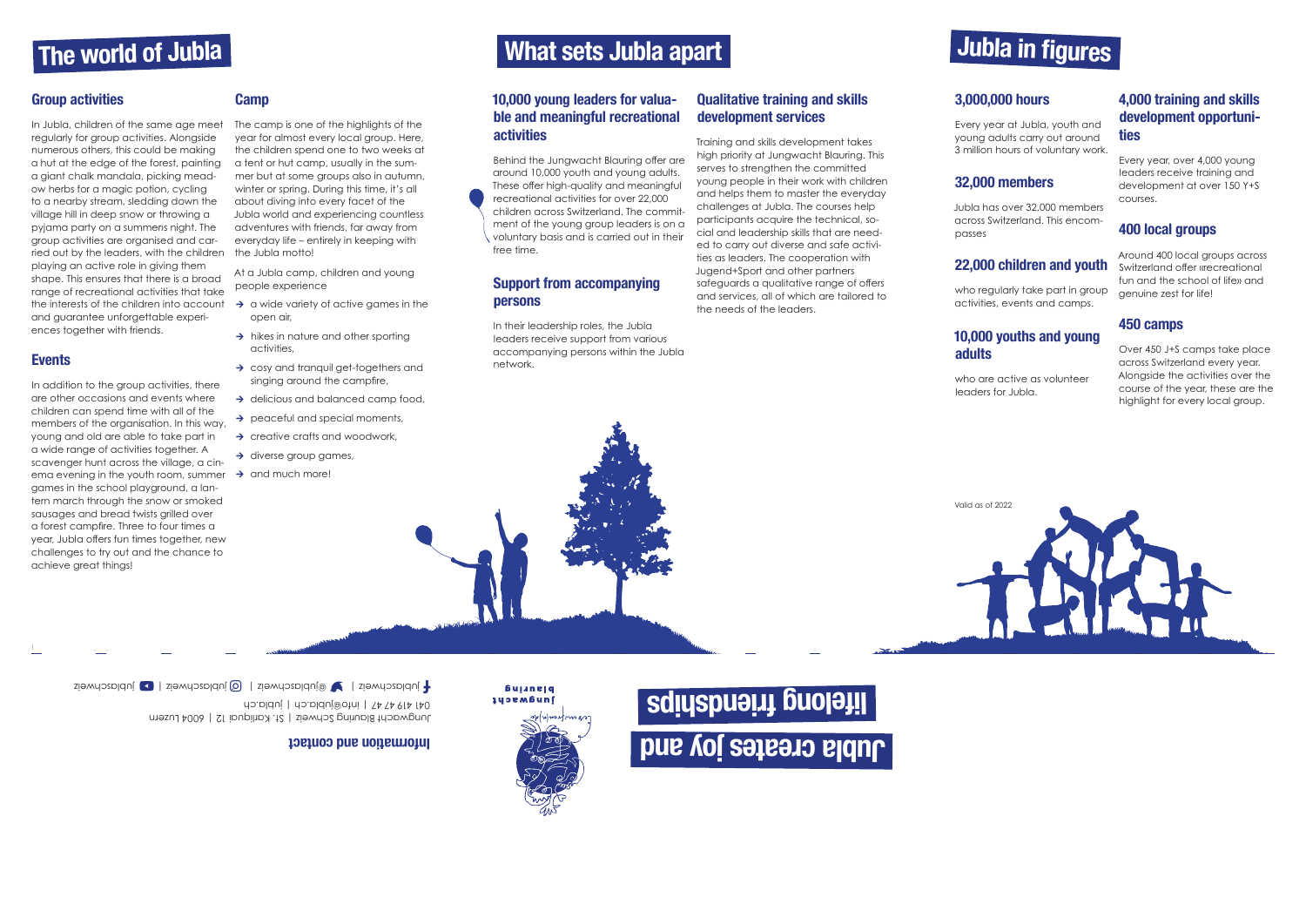### The world of Jubla

### Group activities

In Jubla, children of the same age meet regularly for group activities. Alongside numerous others, this could be making a hut at the edge of the forest, painting a giant chalk mandala, picking meadow herbs for a magic potion, cycling to a nearby stream, sledding down the village hill in deep snow or throwing a pyjama party on a summers night. The group activities are organised and carried out by the leaders, with the children the Jubla motto! playing an active role in giving them shape. This ensures that there is a broad range of recreational activities that take the interests of the children into account  $\rightarrow$  a wide variety of active games in the and guarantee unforgettable experiences together with friends.

### Events

- open air,
- $\rightarrow$  hikes in nature and other sporting activities,
- $\rightarrow$  cosy and tranquil get-togethers and singing around the campfire,
- $\rightarrow$  delicious and balanced camp food,
- $\rightarrow$  peaceful and special moments,
- $\rightarrow$  creative crafts and woodwork,
- $\rightarrow$  diverse group games,
- 

In addition to the group activities, there are other occasions and events where children can spend time with all of the members of the organisation. In this way, young and old are able to take part in a wide range of activities together. A scavenger hunt across the village, a cinema evening in the youth room, summer  $\rightarrow$  and much more! games in the school playground, a lantern march through the snow or smoked sausages and bread twists grilled over a forest campfire. Three to four times a year, Jubla offers fun times together, new challenges to try out and the chance to achieve great things!

#### **Camp**

The camp is one of the highlights of the year for almost every local group. Here, the children spend one to two weeks at a tent or hut camp, usually in the summer but at some groups also in autumn, winter or spring. During this time, it's all about diving into every facet of the Jubla world and experiencing countless adventures with friends, far away from everyday life – entirely in keeping with

At a Jubla camp, children and young people experience

Jungwacht Blauring Schweiz | St. Karliquai 12 | 6004 Luzern 041 419 4/4/1 | info@jubla.ch | jubla.ch  $\Box$ jublaschweiz | Zieweiz | Gjublaschweiz |  $\Box$ jublaschweiz | F

### What sets Jubla apart

### 10,000 young leaders for valuable and meaningful recreational activities

Behind the Jungwacht Blauring offer are around 10,000 youth and young adults. These offer high-quality and meaningful recreational activities for over 22,000 children across Switzerland. The commitment of the young group leaders is on a voluntary basis and is carried out in their free time.

### Support from accompanying persons

In their leadership roles, the Jubla leaders receive support from various accompanying persons within the Jubla network.

### Qualitative training and skills development services

Training and skills development takes high priority at Jungwacht Blauring. This serves to strengthen the committed young people in their work with children and helps them to master the everyday challenges at Jubla. The courses help participants acquire the technical, social and leadership skills that are needed to carry out diverse and safe activities as leaders. The cooperation with Jugend+Sport and other partners safeguards a qualitative range of offers and services, all of which are tailored to the needs of the leaders.

### 3,000,000 hours

Every year at Jubla, youth and young adults carry out around 3 million hours of voluntary work.

### 32,000 members

Jubla has over 32,000 members across Switzerland. This encom-

passes

### 22,000 children and youth

who regularly take part in group activities, events and camps.

# 10,000 youths and young

# adults

who are active as volunteer leaders for Jubla.

### 4,000 training and skills development opportunities

Every year, over 4,000 young leaders receive training and development at over 150 Y+S courses.

### 400 local groups

Around 400 local groups across Switzerland offer «recreational fun and the school of life» and genuine zest for life!

### 450 camps

Over 450 J+S camps take place across Switzerland every year. Alongside the activities over the course of the year, these are the highlight for every local group.

### Information and contact

*<u>bujinejq</u>* **Hudewacht** 

## Jubla in figures

# Jubla creates joy and lifelong friendships